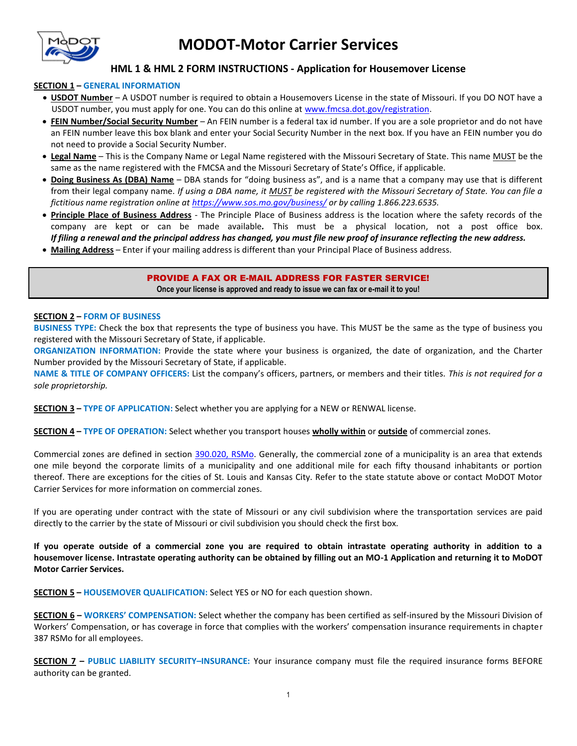

## **MODOT-Motor Carrier Services**

## **HML 1 & HML 2 FORM INSTRUCTIONS - Application for Housemover License**

## **SECTION 1 – GENERAL INFORMATION**

- **USDOT Number**  A USDOT number is required to obtain a Housemovers License in the state of Missouri. If you DO NOT have a USDOT number, you must apply for one. You can do this online at [www.fmcsa.dot.gov/registration.](http://www.fmcsa.dot.gov/registration)
- **FEIN Number/Social Security Number**  An FEIN number is a federal tax id number. If you are a sole proprietor and do not have an FEIN number leave this box blank and enter your Social Security Number in the next box. If you have an FEIN number you do not need to provide a Social Security Number.
- **Legal Name**  This is the Company Name or Legal Name registered with the Missouri Secretary of State. This name MUST be the same as the name registered with the FMCSA and the Missouri Secretary of State's Office, if applicable.
- **Doing Business As (DBA) Name**  DBA stands for "doing business as", and is a name that a company may use that is different from their legal company name. *If using a DBA name, it MUST be registered with the Missouri Secretary of State. You can file a fictitious name registration online at<https://www.sos.mo.gov/business/>or by calling 1.866.223.6535.*
- **Principle Place of Business Address**  The Principle Place of Business address is the location where the safety records of the company are kept or can be made available*.* This must be a physical location, not a post office box. *If filing a renewal and the principal address has changed, you must file new proof of insurance reflecting the new address.*
- **Mailing Address**  Enter if your mailing address is different than your Principal Place of Business address.

PROVIDE A FAX OR E-MAIL ADDRESS FOR FASTER SERVICE! **Once your license is approved and ready to issue we can fax or e-mail it to you!** 

## **SECTION 2 – FORM OF BUSINESS**

 **BUSINESS TYPE:** Check the box that represents the type of business you have. This MUST be the same as the type of business you registered with the Missouri Secretary of State, if applicable.

 **ORGANIZATION INFORMATION:** Provide the state where your business is organized, the date of organization, and the Charter Number provided by the Missouri Secretary of State, if applicable.

 **NAME & TITLE OF COMPANY OFFICERS:** List the company's officers, partners, or members and their titles. *This is not required for a sole proprietorship.* 

 **SECTION 3 – TYPE OF APPLICATION:** Select whether you are applying for a NEW or RENWAL license.

 **SECTION 4 – TYPE OF OPERATION:** Select whether you transport houses **wholly within** or **outside** of commercial zones.

Commercial zones are defined in section [390.020, RSMo.](http://www.moga.mo.gov/mostatutes/stathtml/39000000201.html) Generally, the commercial zone of a municipality is an area that extends one mile beyond the corporate limits of a municipality and one additional mile for each fifty thousand inhabitants or portion thereof. There are exceptions for the cities of St. Louis and Kansas City. Refer to the state statute above or contact MoDOT Motor Carrier Services for more information on commercial zones.

 If you are operating under contract with the state of Missouri or any civil subdivision where the transportation services are paid directly to the carrier by the state of Missouri or civil subdivision you should check the first box.

 **If you operate outside of a commercial zone you are required to obtain intrastate operating authority in addition to a housemover license. Intrastate operating authority can be obtained by filling out an MO-1 Application and returning it to MoDOT Motor Carrier Services.** 

 **SECTION 5 – HOUSEMOVER QUALIFICATION:** Select YES or NO for each question shown.

 **SECTION 6 – WORKERS' COMPENSATION:** Select whether the company has been certified as self-insured by the Missouri Division of Workers' Compensation, or has coverage in force that complies with the workers' compensation insurance requirements in chapter 387 RSMo for all employees.

 **SECTION 7 – PUBLIC LIABILITY SECURITY–INSURANCE:** Your insurance company must file the required insurance forms BEFORE authority can be granted.